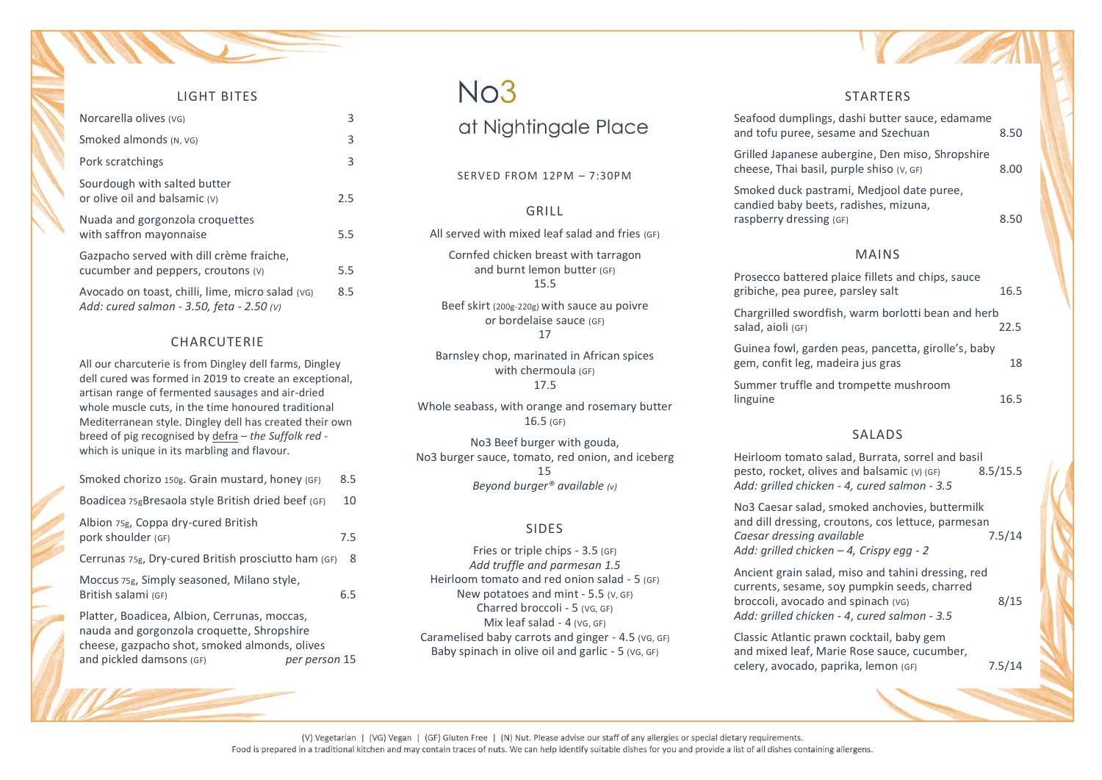| LIGHT BITES                                                                                   |     |
|-----------------------------------------------------------------------------------------------|-----|
| Norcarella olives (vG)                                                                        | 3   |
| Smoked almonds (N. VG)                                                                        | 3   |
| Pork scratchings                                                                              | 3   |
| Sourdough with salted butter<br>or olive oil and balsamic (v)                                 | 2.5 |
| Nuada and gorgonzola croquettes<br>with saffron mayonnaise                                    | 5.5 |
| Gazpacho served with dill crème fraiche,<br>cucumber and peppers, croutons (v)                | 5.5 |
| Avocado on toast, chilli, lime, micro salad (vG)<br>Add: cured salmon - 3.50, feta - 2.50 (v) | 8.5 |

#### CHARCUTERIE

All our charcuterie is from Dingley dell farms, Dingley dell cured was formed in 2019 to create an exceptional, artisan range of fermented sausages and air-dried whole muscle cuts, in the time honoured traditional Mediterranean style. Dingley dell has created their own breed of pig recognised by defra – *the Suffolk red*  which is unique in its marbling and flavour.

| Smoked chorizo 150g. Grain mustard, honey (GF)                                                                                              | 8.5 |
|---------------------------------------------------------------------------------------------------------------------------------------------|-----|
| Boadicea 75gBresaola style British dried beef (GF)                                                                                          | 10  |
| Albion 75g, Coppa dry-cured British<br>pork shoulder (GF)                                                                                   | 7.5 |
| Cerrunas 75g, Dry-cured British prosciutto ham (GF)                                                                                         | 8   |
| Moccus 75g, Simply seasoned, Milano style,<br>British salami (GF)                                                                           | 6.5 |
| Platter, Boadicea, Albion, Cerrunas, moccas,<br>nauda and gorgonzola croquette, Shropshire<br>cheese, gazpacho shot, smoked almonds, olives |     |

and pickled damsons (GF) *per person* 15

### $No3$

at Nightingale Place

#### SERVED FROM 12PM – 7:30PM

#### GRILL

All served with mixed leaf salad and fries (GF)

Cornfed chicken breast with tarragon and burnt lemon butter (GF) 15.5

Beef skirt (200g-220g) with sauce au poivre or bordelaise sauce (GF) 17

Barnsley chop, marinated in African spices with chermoula (GF) 17.5

Whole seabass, with orange and rosemary butter 16.5 (GF)

No3 Beef burger with gouda, No3 burger sauce, tomato, red onion, and iceberg 15 *Beyond burger® available (v)*

#### SIDES

Fries or triple chips - 3.5 (GF) *Add truffle and parmesan 1.5* Heirloom tomato and red onion salad - 5 (GF) New potatoes and mint - 5.5 (V, GF) Charred broccoli - 5 (VG, GF) Mix leaf salad - 4 (VG, GF) Caramelised baby carrots and ginger - 4.5 (VG, GF) Baby spinach in olive oil and garlic - 5 (VG, GF)

#### **STARTFRS**

| Seafood dumplings, dashi butter sauce, edamame<br>and tofu puree, sesame and Szechuan        | 8.50 |
|----------------------------------------------------------------------------------------------|------|
| Grilled Japanese aubergine, Den miso, Shropshire<br>cheese, Thai basil, purple shiso (v, GF) | 8.00 |

Smoked duck pastrami, Medjool date puree, candied baby beets, radishes, mizuna, raspberry dressing (GF) and the state of the 8.50

#### MAINS

| Prosecco battered plaice fillets and chips, sauce<br>gribiche, pea puree, parsley salt   | 16.5 |
|------------------------------------------------------------------------------------------|------|
| Chargrilled swordfish, warm borlotti bean and herb<br>salad, aioli (GF)                  | 22.5 |
| Guinea fowl, garden peas, pancetta, girolle's, baby<br>gem, confit leg, madeira jus gras | 18   |
| Summer truffle and trompette mushroom<br>linguine                                        | 16.5 |

#### SALADS

Heirloom tomato salad, Burrata, sorrel and basil pesto, rocket, olives and balsamic (V) (GF) 8.5/15.5 *Add: grilled chicken - 4, cured salmon - 3.5*

No3 Caesar salad, smoked anchovies, buttermilk and dill dressing, croutons, cos lettuce, parmesan<br>Caesar dressing available 7.5/14 *Caesar dressing available* 7.5/14 *Add: grilled chicken – 4, Crispy egg - 2*

Ancient grain salad, miso and tahini dressing, red currents, sesame, soy pumpkin seeds, charred broccoli, avocado and spinach (VG) 8/15 *Add: grilled chicken - 4*, *cured salmon - 3.5*

Classic Atlantic prawn cocktail, baby gem and mixed leaf, Marie Rose sauce, cucumber, celery, avocado, paprika, lemon (GF) 7.5/14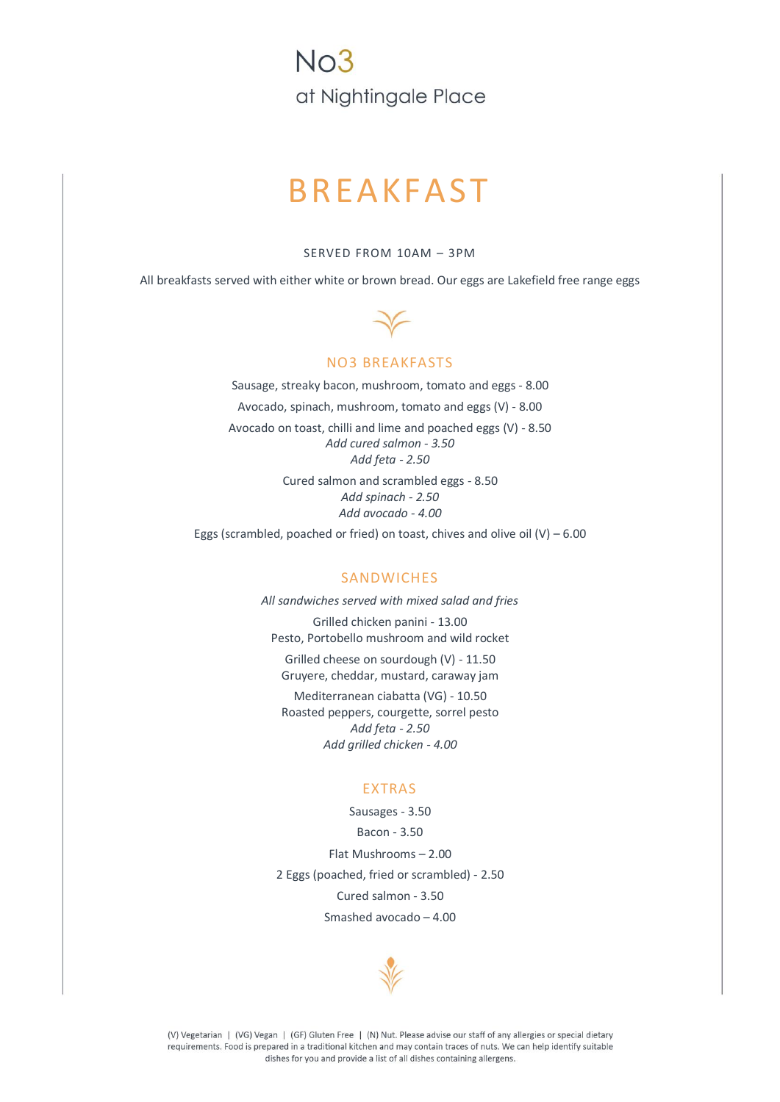$N<sub>0</sub>3$ at Nightingale Place

## BREAKFAST

SERVED FROM 10AM – 3PM

All breakfasts served with either white or brown bread. Our eggs are Lakefield free range eggs



#### NO3 BREAKFASTS

Sausage, streaky bacon, mushroom, tomato and eggs - 8.00 Avocado, spinach, mushroom, tomato and eggs (V) - 8.00 Avocado on toast, chilli and lime and poached eggs (V) - 8.50 *Add cured salmon - 3.50 Add feta - 2.50* Cured salmon and scrambled eggs - 8.50

*Add spinach - 2.50 Add avocado - 4.00*

Eggs (scrambled, poached or fried) on toast, chives and olive oil  $(V)$  – 6.00

#### **SANDWICHES**

*All sandwiches served with mixed salad and fries* Grilled chicken panini - 13.00 Pesto, Portobello mushroom and wild rocket Grilled cheese on sourdough (V) - 11.50 Gruyere, cheddar, mustard, caraway jam Mediterranean ciabatta (VG) - 10.50 Roasted peppers, courgette, sorrel pesto *Add feta - 2.50 Add grilled chicken - 4.00*

#### EXTRAS

Sausages - 3.50 Bacon - 3.50 Flat Mushrooms – 2.00 2 Eggs (poached, fried or scrambled) - 2.50 Cured salmon - 3.50 Smashed avocado – 4.00



(V) Vegetarian | (VG) Vegan | (GF) Gluten Free | (N) Nut. Please advise our staff of any allergies or special dietary requirements. Food is prepared in a traditional kitchen and may contain traces of nuts. We can help identify suitable dishes for you and provide a list of all dishes containing allergens.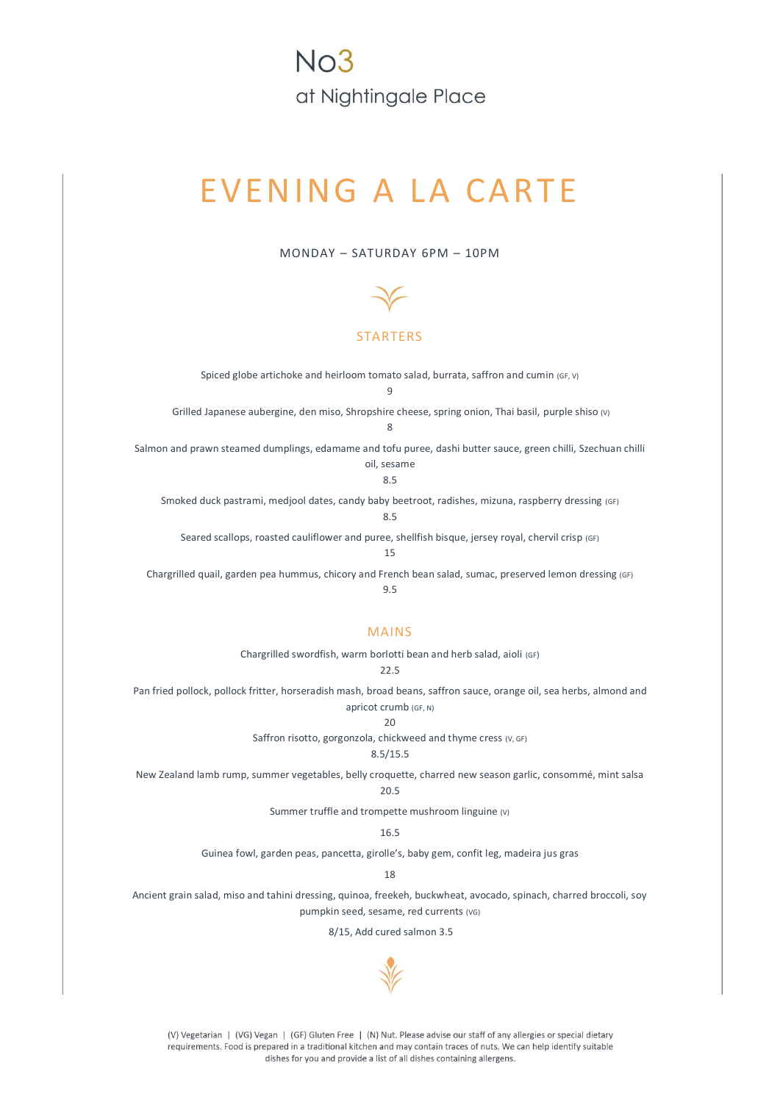### $N<sub>0</sub>$ 3 at Nightingale Place

# EVENING A LA CARTE

MONDAY – SATURDAY 6PM – 10PM



#### STARTERS

Spiced globe artichoke and heirloom tomato salad, burrata, saffron and cumin (GF, V) 9

Grilled Japanese aubergine, den miso, Shropshire cheese, spring onion, Thai basil, purple shiso (V) 8

Salmon and prawn steamed dumplings, edamame and tofu puree, dashi butter sauce, green chilli, Szechuan chilli oil, sesame

8.5

Smoked duck pastrami, medjool dates, candy baby beetroot, radishes, mizuna, raspberry dressing (GF)

8.5

Seared scallops, roasted cauliflower and puree, shellfish bisque, jersey royal, chervil crisp (GF)

15

Chargrilled quail, garden pea hummus, chicory and French bean salad, sumac, preserved lemon dressing (GF) 9.5

#### MAINS

Chargrilled swordfish, warm borlotti bean and herb salad, aioli (GF)

22.5

Pan fried pollock, pollock fritter, horseradish mash, broad beans, saffron sauce, orange oil, sea herbs, almond and apricot crumb (GF, N)

20

Saffron risotto, gorgonzola, chickweed and thyme cress (V, GF)

#### 8.5/15.5

New Zealand lamb rump, summer vegetables, belly croquette, charred new season garlic, consommé, mint salsa

20.5

Summer truffle and trompette mushroom linguine (v)

16.5

Guinea fowl, garden peas, pancetta, girolle's, baby gem, confit leg, madeira jus gras

18

Ancient grain salad, miso and tahini dressing, quinoa, freekeh, buckwheat, avocado, spinach, charred broccoli, soy pumpkin seed, sesame, red currents (VG)

8/15, Add cured salmon 3.5



(V) Vegetarian | (VG) Vegan | (GF) Gluten Free | (N) Nut. Please advise our staff of any allergies or special dietary requirements. Food is prepared in a traditional kitchen and may contain traces of nuts. We can help identify suitable dishes for you and provide a list of all dishes containing allergens.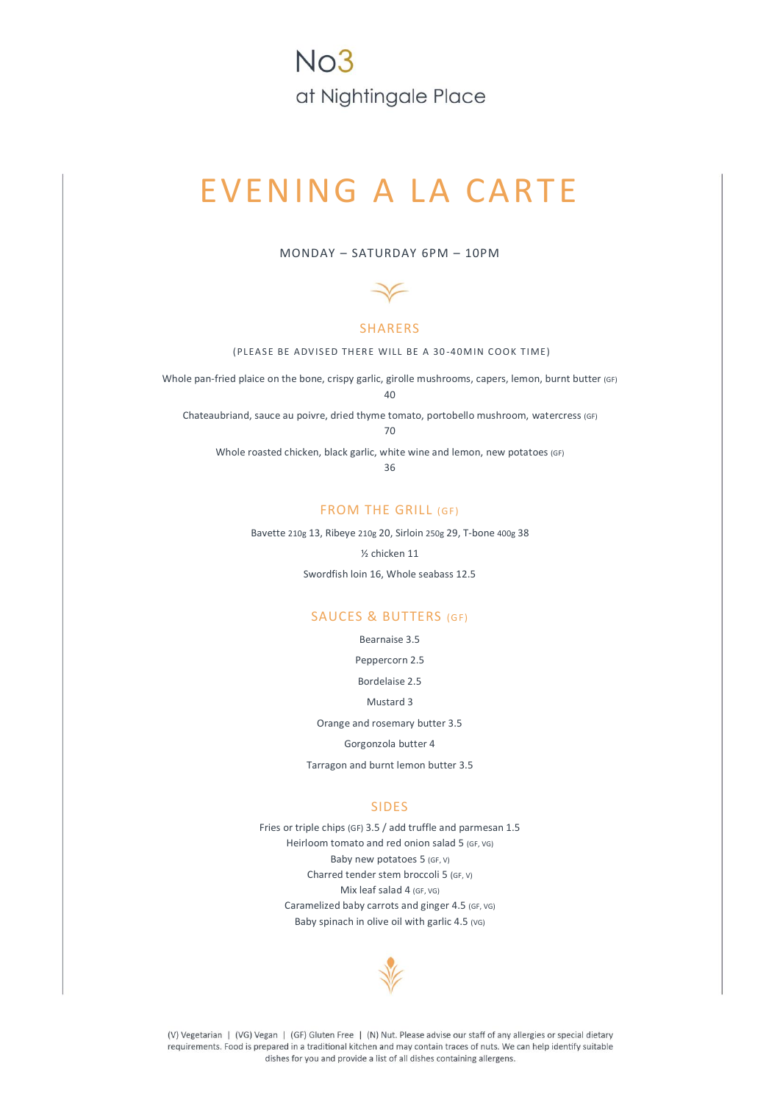### $N<sub>0</sub>3$ at Nightingale Place

# EVENING A LA CARTE

#### MONDAY – SATURDAY 6PM – 10PM



#### SHARERS

(PLEASE BE ADVISED THERE WILL BE A 30-40MIN COOK TIME)

Whole pan-fried plaice on the bone, crispy garlic, girolle mushrooms, capers, lemon, burnt butter (GF)

40

Chateaubriand, sauce au poivre, dried thyme tomato, portobello mushroom, watercress (GF)

70

Whole roasted chicken, black garlic, white wine and lemon, new potatoes (GF)

36

#### FROM THE GRILL (GF)

Bavette 210g 13, Ribeye 210g 20, Sirloin 250g 29, T-bone 400g 38

½ chicken 11

Swordfish loin 16, Whole seabass 12.5

#### SAUCES & BUTTERS (GF)

Bearnaise 3.5

Peppercorn 2.5

Bordelaise 2.5

Mustard 3

Orange and rosemary butter 3.5

Gorgonzola butter 4

Tarragon and burnt lemon butter 3.5

#### SIDES

Fries or triple chips (GF) 3.5 / add truffle and parmesan 1.5 Heirloom tomato and red onion salad 5 (GF, VG) Baby new potatoes 5 (GF, V) Charred tender stem broccoli 5 (GF, V) Mix leaf salad 4 (GF, VG) Caramelized baby carrots and ginger 4.5 (GF, VG) Baby spinach in olive oil with garlic 4.5 (VG)



(V) Vegetarian | (VG) Vegan | (GF) Gluten Free | (N) Nut. Please advise our staff of any allergies or special dietary requirements. Food is prepared in a traditional kitchen and may contain traces of nuts. We can help identify suitable dishes for you and provide a list of all dishes containing allergens.